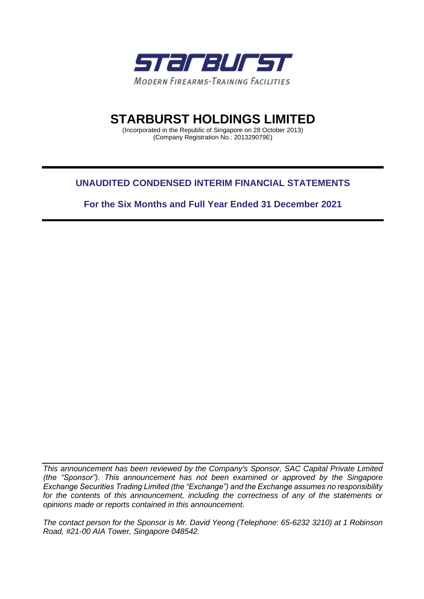

# **STARBURST HOLDINGS LIMITED**

(Incorporated in the Republic of Singapore on 28 October 2013) (Company Registration No.: 201329079E)

# **UNAUDITED CONDENSED INTERIM FINANCIAL STATEMENTS**

**For the Six Months and Full Year Ended 31 December 2021**

*This announcement has been reviewed by the Company's Sponsor, SAC Capital Private Limited (the "Sponsor"). This announcement has not been examined or approved by the Singapore Exchange Securities Trading Limited (the "Exchange") and the Exchange assumes no responsibility*  for the contents of this announcement, including the correctness of any of the statements or *opinions made or reports contained in this announcement.* 

*The contact person for the Sponsor is Mr. David Yeong (Telephone: 65-6232 3210) at 1 Robinson Road, #21-00 AIA Tower, Singapore 048542.*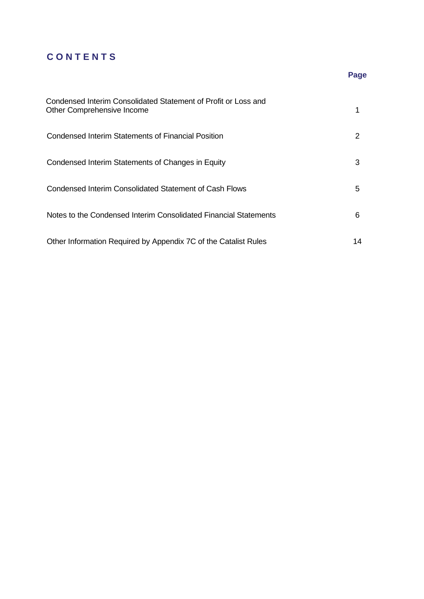# **C O N T E N T S**

| Condensed Interim Consolidated Statement of Profit or Loss and<br>Other Comprehensive Income |    |
|----------------------------------------------------------------------------------------------|----|
| Condensed Interim Statements of Financial Position                                           |    |
| Condensed Interim Statements of Changes in Equity                                            | 3  |
| Condensed Interim Consolidated Statement of Cash Flows                                       | 5  |
| Notes to the Condensed Interim Consolidated Financial Statements                             | 6  |
| Other Information Required by Appendix 7C of the Catalist Rules                              | 14 |

# **Page**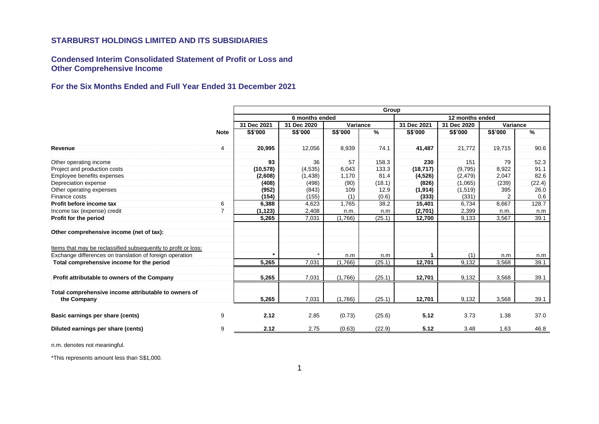**Condensed Interim Consolidated Statement of Profit or Loss and Other Comprehensive Income** 

# **For the Six Months Ended and Full Year Ended 31 December 2021**

|                                                                     |                | Group       |                                   |          |        |             |                |          |        |
|---------------------------------------------------------------------|----------------|-------------|-----------------------------------|----------|--------|-------------|----------------|----------|--------|
|                                                                     |                |             | 6 months ended<br>12 months ended |          |        |             |                |          |        |
|                                                                     |                | 31 Dec 2021 | 31 Dec 2020                       | Variance |        | 31 Dec 2021 | 31 Dec 2020    | Variance |        |
|                                                                     | <b>Note</b>    | S\$'000     | S\$'000                           | S\$'000  | $\%$   | S\$'000     | <b>S\$'000</b> | S\$'000  | %      |
| Revenue                                                             | 4              | 20,995      | 12,056                            | 8,939    | 74.1   | 41,487      | 21,772         | 19,715   | 90.6   |
| Other operating income                                              |                | 93          | 36                                | 57       | 158.3  | 230         | 151            | 79       | 52.3   |
| Project and production costs                                        |                | (10, 578)   | (4,535)                           | 6,043    | 133.3  | (18, 717)   | (9,795)        | 8,922    | 91.1   |
| Employee benefits expenses                                          |                | (2,608)     | (1, 438)                          | 1,170    | 81.4   | (4,526)     | (2, 479)       | 2,047    | 82.6   |
| Depreciation expense                                                |                | (408)       | (498)                             | (90)     | (18.1) | (826)       | (1,065)        | (239)    | (22.4) |
| Other operating expenses                                            |                | (952)       | (843)                             | 109      | 12.9   | (1, 914)    | (1,519)        | 395      | 26.0   |
| Finance costs                                                       |                | (154)       | (155)                             | (1)      | (0.6)  | (333)       | (331)          |          | 0.6    |
| Profit before income tax                                            | 6              | 6,388       | 4,623                             | 1.765    | 38.2   | 15,401      | 6.734          | 8,667    | 128.7  |
| Income tax (expense) credit                                         | $\overline{7}$ | (1, 123)    | 2,408                             | n.m.     | n.m    | (2,701)     | 2,399          | n.m.     | n.m    |
| Profit for the period                                               |                | 5,265       | 7,031                             | (1,766)  | (25.1) | 12,700      | 9,133          | 3,567    | 39.1   |
| Other comprehensive income (net of tax):                            |                |             |                                   |          |        |             |                |          |        |
| Items that may be reclassified subsequently to profit or loss:      |                |             |                                   |          |        |             |                |          |        |
| Exchange differences on translation of foreign operation            |                | $\star$     |                                   | n.m      | n.m    |             | (1)            | n.m      | n.m    |
| Total comprehensive income for the period                           |                | 5,265       | 7,031                             | (1,766)  | (25.1) | 12,701      | 9,132          | 3,568    | 39.1   |
| Profit attributable to owners of the Company                        |                | 5,265       | 7,031                             | (1,766)  | (25.1) | 12,701      | 9,132          | 3,568    | 39.1   |
| Total comprehensive income attributable to owners of<br>the Company |                | 5,265       | 7,031                             | (1,766)  | (25.1) | 12,701      | 9,132          | 3,568    | 39.1   |
| Basic earnings per share (cents)                                    | 9              | 2.12        | 2.85                              | (0.73)   | (25.6) | 5.12        | 3.73           | 1.38     | 37.0   |
| Diluted earnings per share (cents)                                  | 9              | 2.12        | 2.75                              | (0.63)   | (22.9) | 5.12        | 3.48           | 1.63     | 46.8   |

n.m. denotes not meaningful.

\*This represents amount less than S\$1,000.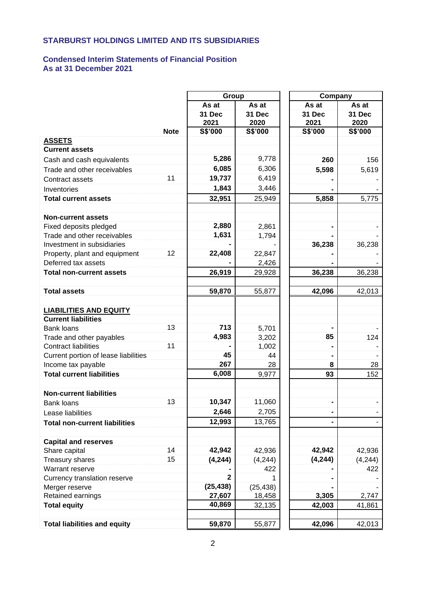# **Condensed Interim Statements of Financial Position As at 31 December 2021**

|                                      |             | Group          |                | Company        |                |  |
|--------------------------------------|-------------|----------------|----------------|----------------|----------------|--|
|                                      |             | As at          | As at          | As at          | As at          |  |
|                                      |             | 31 Dec<br>2021 | 31 Dec<br>2020 | 31 Dec<br>2021 | 31 Dec<br>2020 |  |
|                                      | <b>Note</b> | S\$'000        | <b>S\$'000</b> | S\$'000        | S\$'000        |  |
| <b>ASSETS</b>                        |             |                |                |                |                |  |
| <b>Current assets</b>                |             |                |                |                |                |  |
| Cash and cash equivalents            |             | 5,286          | 9,778          | 260            | 156            |  |
| Trade and other receivables          |             | 6,085          | 6,306          | 5,598          | 5,619          |  |
| Contract assets                      | 11          | 19,737         | 6,419          |                |                |  |
| Inventories                          |             | 1,843          | 3,446          |                |                |  |
| <b>Total current assets</b>          |             | 32,951         | 25,949         | 5,858          | 5,775          |  |
| <b>Non-current assets</b>            |             |                |                |                |                |  |
| Fixed deposits pledged               |             | 2,880          | 2,861          |                |                |  |
| Trade and other receivables          |             | 1,631          | 1,794          |                |                |  |
| Investment in subsidiaries           |             |                |                | 36,238         | 36,238         |  |
| Property, plant and equipment        | 12          | 22,408         | 22,847         |                |                |  |
| Deferred tax assets                  |             |                | 2,426          |                |                |  |
| <b>Total non-current assets</b>      |             | 26,919         | 29,928         | 36,238         | 36,238         |  |
|                                      |             |                |                |                |                |  |
| <b>Total assets</b>                  |             | 59,870         | 55,877         | 42,096         | 42,013         |  |
|                                      |             |                |                |                |                |  |
| <b>LIABILITIES AND EQUITY</b>        |             |                |                |                |                |  |
| <b>Current liabilities</b>           |             |                |                |                |                |  |
| <b>Bank loans</b>                    | 13          | 713            | 5,701          |                |                |  |
| Trade and other payables             |             | 4,983          | 3,202          | 85             | 124            |  |
| <b>Contract liabilities</b>          | 11          |                | 1,002          |                |                |  |
| Current portion of lease liabilities |             | 45             | 44             |                |                |  |
| Income tax payable                   |             | 267            | 28             | 8              | 28             |  |
| <b>Total current liabilities</b>     |             | 6,008          | 9,977          | 93             | 152            |  |
| <b>Non-current liabilities</b>       |             |                |                |                |                |  |
| <b>Bank loans</b>                    | 13          | 10,347         | 11,060         |                |                |  |
| Lease liabilities                    |             | 2,646          | 2,705          |                |                |  |
| <b>Total non-current liabilities</b> |             | 12,993         | 13,765         |                |                |  |
| <b>Capital and reserves</b>          |             |                |                |                |                |  |
| Share capital                        | 14          | 42,942         | 42,936         | 42,942         | 42,936         |  |
| <b>Treasury shares</b>               | 15          | (4, 244)       | (4, 244)       | (4, 244)       | (4, 244)       |  |
| Warrant reserve                      |             |                | 422            |                | 422            |  |
| Currency translation reserve         |             | 2              |                |                |                |  |
| Merger reserve                       |             | (25, 438)      | (25, 438)      |                |                |  |
| Retained earnings                    |             | 27,607         | 18,458         | 3,305          | 2,747          |  |
| <b>Total equity</b>                  |             | 40,869         | 32,135         | 42,003         | 41,861         |  |
|                                      |             |                |                |                |                |  |
| <b>Total liabilities and equity</b>  |             | 59,870         | 55,877         | 42,096         | 42,013         |  |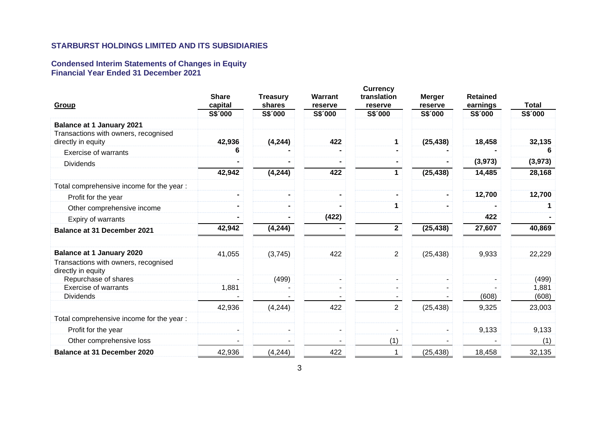#### **Condensed Interim Statements of Changes in Equity Financial Year Ended 31 December 2021**

|                                                            | <b>Share</b> | <b>Treasury</b> | Warrant | <b>Currency</b><br>translation | <b>Merger</b> | <b>Retained</b> |              |
|------------------------------------------------------------|--------------|-----------------|---------|--------------------------------|---------------|-----------------|--------------|
| Group                                                      | capital      | shares          | reserve | reserve                        | reserve       | earnings        | <b>Total</b> |
|                                                            | S\$'000      | S\$'000         | S\$'000 | S\$'000                        | S\$'000       | S\$'000         | S\$'000      |
| <b>Balance at 1 January 2021</b>                           |              |                 |         |                                |               |                 |              |
| Transactions with owners, recognised<br>directly in equity | 42,936       | (4, 244)        | 422     | $\mathbf 1$                    | (25, 438)     | 18,458          | 32,135       |
| <b>Exercise of warrants</b>                                | 6            |                 |         |                                |               |                 | 6            |
| <b>Dividends</b>                                           |              |                 |         |                                |               | (3,973)         | (3, 973)     |
|                                                            | 42,942       | (4, 244)        | 422     | $\mathbf 1$                    | (25, 438)     | 14,485          | 28,168       |
| Total comprehensive income for the year :                  |              |                 |         |                                |               |                 |              |
| Profit for the year                                        |              |                 |         |                                |               | 12,700          | 12,700       |
| Other comprehensive income                                 |              |                 |         | 1                              |               |                 |              |
| Expiry of warrants                                         |              |                 | (422)   |                                |               | 422             |              |
| <b>Balance at 31 December 2021</b>                         | 42,942       | (4, 244)        |         | $\overline{2}$                 | (25, 438)     | 27,607          | 40,869       |
| <b>Balance at 1 January 2020</b>                           | 41,055       | (3,745)         | 422     | $\overline{2}$                 | (25, 438)     | 9,933           | 22,229       |
| Transactions with owners, recognised<br>directly in equity |              |                 |         |                                |               |                 |              |
| Repurchase of shares                                       |              | (499)           | ٠       | $\blacksquare$                 | ۰.            |                 | (499)        |
| <b>Exercise of warrants</b>                                | 1,881        |                 |         |                                |               |                 | 1,881        |
| <b>Dividends</b>                                           |              |                 |         |                                |               | (608)           | (608)        |
|                                                            | 42,936       | (4, 244)        | 422     | $\overline{2}$                 | (25, 438)     | 9,325           | 23,003       |
| Total comprehensive income for the year :                  |              |                 |         |                                |               |                 |              |
| Profit for the year                                        |              | $\blacksquare$  | ٠       | $\overline{\phantom{a}}$       | ۰.            | 9,133           | 9,133        |
| Other comprehensive loss                                   |              |                 |         | (1)                            |               |                 | (1)          |
| <b>Balance at 31 December 2020</b>                         | 42,936       | (4, 244)        | 422     | 1                              | (25, 438)     | 18,458          | 32,135       |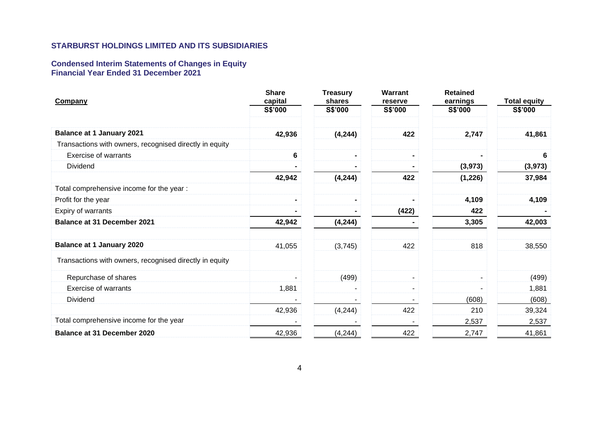#### **Condensed Interim Statements of Changes in Equity Financial Year Ended 31 December 2021**

| Company                                                 | <b>Share</b><br>capital | <b>Treasury</b><br>shares | <b>Warrant</b><br>reserve | <b>Retained</b><br>earnings | <b>Total equity</b> |
|---------------------------------------------------------|-------------------------|---------------------------|---------------------------|-----------------------------|---------------------|
|                                                         | S\$'000                 | S\$'000                   | S\$'000                   | S\$'000                     | S\$'000             |
| <b>Balance at 1 January 2021</b>                        |                         |                           |                           |                             |                     |
|                                                         | 42,936                  | (4, 244)                  | 422                       | 2,747                       | 41,861              |
| Transactions with owners, recognised directly in equity |                         |                           |                           |                             |                     |
| Exercise of warrants                                    | 6                       | $\blacksquare$            |                           |                             | 6                   |
| Dividend                                                |                         |                           |                           | (3, 973)                    | (3, 973)            |
|                                                         | 42,942                  | (4, 244)                  | 422                       | (1, 226)                    | 37,984              |
| Total comprehensive income for the year :               |                         |                           |                           |                             |                     |
| Profit for the year                                     |                         | $\blacksquare$            |                           | 4,109                       | 4,109               |
| Expiry of warrants                                      |                         |                           | (422)                     | 422                         |                     |
| <b>Balance at 31 December 2021</b>                      | 42,942                  | (4, 244)                  |                           | 3,305                       | 42,003              |
| <b>Balance at 1 January 2020</b>                        | 41,055                  | (3,745)                   | 422                       | 818                         | 38,550              |
| Transactions with owners, recognised directly in equity |                         |                           |                           |                             |                     |
| Repurchase of shares                                    |                         | (499)                     |                           | $\blacksquare$              | (499)               |
| <b>Exercise of warrants</b>                             | 1,881                   |                           | $\sim$                    | $\blacksquare$              | 1,881               |
| Dividend                                                |                         |                           |                           | (608)                       | (608)               |
|                                                         | 42,936                  | (4,244)                   | 422                       | 210                         | 39,324              |
| Total comprehensive income for the year                 |                         |                           |                           | 2,537                       | 2,537               |
| Balance at 31 December 2020                             | 42,936                  | (4, 244)                  | 422                       | 2,747                       | 41,861              |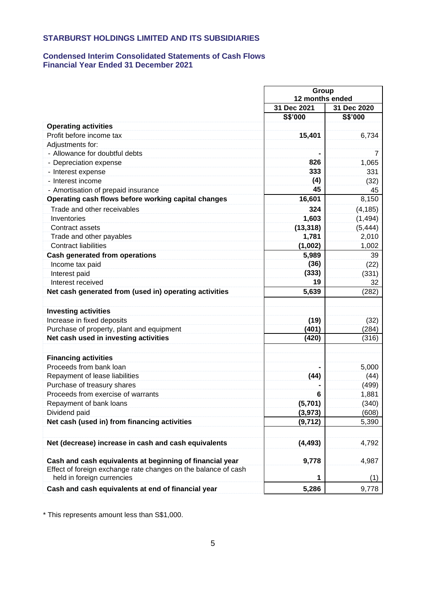# **Condensed Interim Consolidated Statements of Cash Flows Financial Year Ended 31 December 2021**

|                                                                | Group           |             |  |
|----------------------------------------------------------------|-----------------|-------------|--|
|                                                                | 12 months ended |             |  |
|                                                                | 31 Dec 2021     | 31 Dec 2020 |  |
|                                                                | S\$'000         | S\$'000     |  |
| <b>Operating activities</b>                                    |                 |             |  |
| Profit before income tax                                       | 15,401          | 6,734       |  |
| Adjustments for:                                               |                 |             |  |
| - Allowance for doubtful debts                                 |                 | 7           |  |
| - Depreciation expense                                         | 826             | 1,065       |  |
| - Interest expense                                             | 333             | 331         |  |
| - Interest income                                              | (4)             | (32)        |  |
| - Amortisation of prepaid insurance                            | 45              | 45          |  |
| Operating cash flows before working capital changes            | 16,601          | 8,150       |  |
| Trade and other receivables                                    | 324             | (4, 185)    |  |
| Inventories                                                    | 1,603           | (1, 494)    |  |
| Contract assets                                                | (13, 318)       | (5, 444)    |  |
| Trade and other payables                                       | 1,781           | 2,010       |  |
| <b>Contract liabilities</b>                                    | (1,002)         | 1,002       |  |
| <b>Cash generated from operations</b>                          | 5,989           | 39          |  |
| Income tax paid                                                | (36)            | (22)        |  |
| Interest paid                                                  | (333)           | (331)       |  |
| Interest received                                              | 19              | 32          |  |
| Net cash generated from (used in) operating activities         | 5,639           | (282)       |  |
|                                                                |                 |             |  |
| <b>Investing activities</b>                                    |                 |             |  |
| Increase in fixed deposits                                     | (19)            | (32)        |  |
| Purchase of property, plant and equipment                      | (401)           | (284)       |  |
| Net cash used in investing activities                          | (420)           | (316)       |  |
|                                                                |                 |             |  |
| <b>Financing activities</b>                                    |                 |             |  |
| Proceeds from bank loan                                        |                 | 5,000       |  |
| Repayment of lease liabilities                                 | (44)            | (44)        |  |
| Purchase of treasury shares                                    |                 | (499)       |  |
| Proceeds from exercise of warrants                             | 6               | 1,881       |  |
| Repayment of bank loans                                        | (5,701)         | (340)       |  |
| Dividend paid                                                  | (3, 973)        | (608)       |  |
| Net cash (used in) from financing activities                   | (9, 712)        | 5,390       |  |
|                                                                |                 |             |  |
| Net (decrease) increase in cash and cash equivalents           | (4, 493)        | 4,792       |  |
|                                                                |                 |             |  |
| Cash and cash equivalents at beginning of financial year       | 9,778           | 4,987       |  |
| Effect of foreign exchange rate changes on the balance of cash |                 |             |  |
| held in foreign currencies                                     |                 | (1)         |  |
| Cash and cash equivalents at end of financial year             | 5,286           | 9,778       |  |

\* This represents amount less than S\$1,000.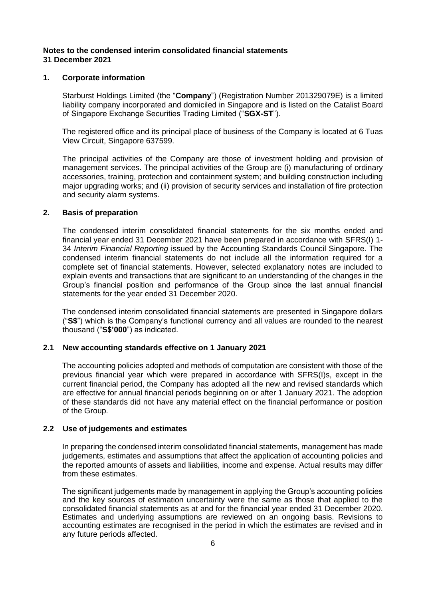## **Notes to the condensed interim consolidated financial statements 31 December 2021**

#### **1. Corporate information**

Starburst Holdings Limited (the "**Company**") (Registration Number 201329079E) is a limited liability company incorporated and domiciled in Singapore and is listed on the Catalist Board of Singapore Exchange Securities Trading Limited ("**SGX-ST**").

The registered office and its principal place of business of the Company is located at 6 Tuas View Circuit, Singapore 637599.

The principal activities of the Company are those of investment holding and provision of management services. The principal activities of the Group are (i) manufacturing of ordinary accessories, training, protection and containment system; and building construction including major upgrading works; and (ii) provision of security services and installation of fire protection and security alarm systems.

#### **2. Basis of preparation**

The condensed interim consolidated financial statements for the six months ended and financial year ended 31 December 2021 have been prepared in accordance with SFRS(I) 1- 34 *Interim Financial Reporting* issued by the Accounting Standards Council Singapore. The condensed interim financial statements do not include all the information required for a complete set of financial statements. However, selected explanatory notes are included to explain events and transactions that are significant to an understanding of the changes in the Group's financial position and performance of the Group since the last annual financial statements for the year ended 31 December 2020.

The condensed interim consolidated financial statements are presented in Singapore dollars ("**S\$**") which is the Company's functional currency and all values are rounded to the nearest thousand ("**S\$'000**") as indicated.

#### **2.1 New accounting standards effective on 1 January 2021**

The accounting policies adopted and methods of computation are consistent with those of the previous financial year which were prepared in accordance with SFRS(I)s, except in the current financial period, the Company has adopted all the new and revised standards which are effective for annual financial periods beginning on or after 1 January 2021. The adoption of these standards did not have any material effect on the financial performance or position of the Group.

#### **2.2 Use of judgements and estimates**

In preparing the condensed interim consolidated financial statements, management has made judgements, estimates and assumptions that affect the application of accounting policies and the reported amounts of assets and liabilities, income and expense. Actual results may differ from these estimates.

The significant judgements made by management in applying the Group's accounting policies and the key sources of estimation uncertainty were the same as those that applied to the consolidated financial statements as at and for the financial year ended 31 December 2020. Estimates and underlying assumptions are reviewed on an ongoing basis. Revisions to accounting estimates are recognised in the period in which the estimates are revised and in any future periods affected.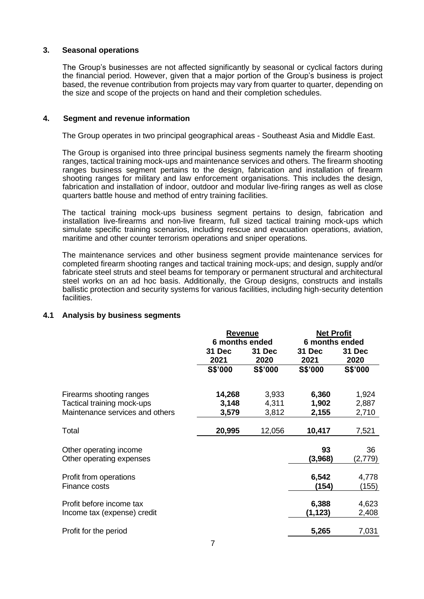## **3. Seasonal operations**

The Group's businesses are not affected significantly by seasonal or cyclical factors during the financial period. However, given that a major portion of the Group's business is project based, the revenue contribution from projects may vary from quarter to quarter, depending on the size and scope of the projects on hand and their completion schedules.

## **4. Segment and revenue information**

The Group operates in two principal geographical areas - Southeast Asia and Middle East.

The Group is organised into three principal business segments namely the firearm shooting ranges, tactical training mock-ups and maintenance services and others. The firearm shooting ranges business segment pertains to the design, fabrication and installation of firearm shooting ranges for military and law enforcement organisations. This includes the design, fabrication and installation of indoor, outdoor and modular live-firing ranges as well as close quarters battle house and method of entry training facilities.

The tactical training mock-ups business segment pertains to design, fabrication and installation live-firearms and non-live firearm, full sized tactical training mock-ups which simulate specific training scenarios, including rescue and evacuation operations, aviation, maritime and other counter terrorism operations and sniper operations.

The maintenance services and other business segment provide maintenance services for completed firearm shooting ranges and tactical training mock-ups; and design, supply and/or fabricate steel struts and steel beams for temporary or permanent structural and architectural steel works on an ad hoc basis. Additionally, the Group designs, constructs and installs ballistic protection and security systems for various facilities, including high-security detention facilities.

# **4.1 Analysis by business segments**

|                                                                                           | <b>Revenue</b><br>6 months ended |                         | <b>Net Profit</b><br>6 months ended |                         |
|-------------------------------------------------------------------------------------------|----------------------------------|-------------------------|-------------------------------------|-------------------------|
|                                                                                           | 31 Dec<br>31 Dec<br>2021<br>2020 |                         | 31 Dec<br>2021                      | 31 Dec<br>2020          |
|                                                                                           | S\$'000                          | <b>S\$'000</b>          | <b>S\$'000</b>                      | <b>S\$'000</b>          |
| Firearms shooting ranges<br>Tactical training mock-ups<br>Maintenance services and others | 14,268<br>3,148<br>3,579         | 3,933<br>4,311<br>3,812 | 6,360<br>1,902<br>2,155             | 1,924<br>2,887<br>2,710 |
| Total                                                                                     | 20,995                           | 12,056                  | 10,417                              | 7,521                   |
| Other operating income<br>Other operating expenses                                        |                                  |                         | 93<br>(3,968)                       | 36<br>(2,779)           |
| Profit from operations<br>Finance costs                                                   |                                  |                         | 6,542<br>(154)                      | 4,778<br>(155)          |
| Profit before income tax<br>Income tax (expense) credit                                   |                                  |                         | 6,388<br>(1, 123)                   | 4,623<br>2,408          |
| Profit for the period                                                                     |                                  |                         | 5,265                               | 7,031                   |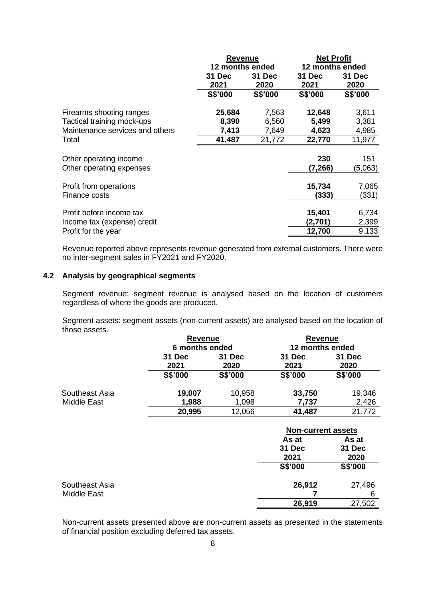|                                 | <b>Revenue</b>  |         | <b>Net Profit</b> |         |  |
|---------------------------------|-----------------|---------|-------------------|---------|--|
|                                 | 12 months ended |         | 12 months ended   |         |  |
|                                 | 31 Dec          | 31 Dec  | 31 Dec            | 31 Dec  |  |
|                                 | 2021            | 2020    | 2021              | 2020    |  |
|                                 | S\$'000         | S\$'000 | S\$'000           | S\$'000 |  |
| Firearms shooting ranges        | 25,684          | 7,563   | 12,648            | 3,611   |  |
| Tactical training mock-ups      | 8,390           | 6,560   | 5,499             | 3,381   |  |
| Maintenance services and others | 7,413           | 7,649   | 4,623             | 4,985   |  |
| Total                           | 41,487          | 21,772  | 22,770            | 11,977  |  |
| Other operating income          |                 |         | 230               | 151     |  |
| Other operating expenses        |                 |         | (7,266)           | (5,063) |  |
| Profit from operations          |                 |         | 15,734            | 7,065   |  |
| Finance costs                   |                 |         | (333)             | (331)   |  |
| Profit before income tax        |                 |         | 15,401            | 6,734   |  |
| Income tax (expense) credit     |                 |         | (2,701)           | 2,399   |  |
| Profit for the year             |                 |         | 12,700            | 9,133   |  |

Revenue reported above represents revenue generated from external customers. There were no inter-segment sales in FY2021 and FY2020.

# **4.2 Analysis by geographical segments**

Segment revenue: segment revenue is analysed based on the location of customers regardless of where the goods are produced.

Segment assets: segment assets (non-current assets) are analysed based on the location of those assets.

|                | <b>Revenue</b> |         | <b>Revenue</b>            |         |  |
|----------------|----------------|---------|---------------------------|---------|--|
|                | 6 months ended |         | 12 months ended           |         |  |
|                | 31 Dec         | 31 Dec  | 31 Dec                    | 31 Dec  |  |
|                | 2021           | 2020    | 2021                      | 2020    |  |
|                | S\$'000        | S\$'000 | S\$'000                   | S\$'000 |  |
| Southeast Asia | 19,007         | 10,958  | 33,750                    | 19,346  |  |
| Middle East    | 1,988          | 1,098   | 7,737                     | 2,426   |  |
|                | 20,995         | 12,056  | 41,487                    | 21,772  |  |
|                |                |         | <b>Non-current assets</b> |         |  |
|                |                |         | As at                     | As at   |  |
|                |                |         | 31 Dec                    | 31 Dec  |  |
|                |                |         | 2021                      | 2020    |  |
|                |                |         | S\$'000                   | S\$'000 |  |
| Southeast Asia |                |         | 26,912                    | 27,496  |  |
| Middle East    |                |         |                           | 6       |  |
|                |                |         | 26,919                    | 27,502  |  |

Non-current assets presented above are non-current assets as presented in the statements of financial position excluding deferred tax assets.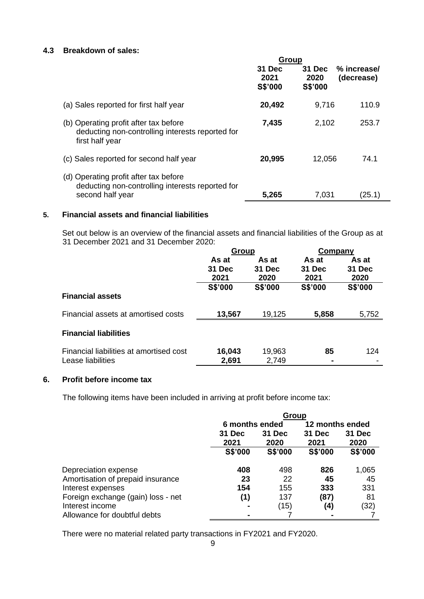# **4.3 Breakdown of sales:**

|                                                                                                               | Group                     |                           |                           |
|---------------------------------------------------------------------------------------------------------------|---------------------------|---------------------------|---------------------------|
|                                                                                                               | 31 Dec<br>2021<br>S\$'000 | 31 Dec<br>2020<br>S\$'000 | % increase/<br>(decrease) |
| (a) Sales reported for first half year                                                                        | 20,492                    | 9,716                     | 110.9                     |
| (b) Operating profit after tax before<br>deducting non-controlling interests reported for<br>first half year  | 7,435                     | 2,102                     | 253.7                     |
| (c) Sales reported for second half year                                                                       | 20,995                    | 12,056                    | 74.1                      |
| (d) Operating profit after tax before<br>deducting non-controlling interests reported for<br>second half year | 5,265                     | 7,031                     | (25.1)                    |

# **5. Financial assets and financial liabilities**

Set out below is an overview of the financial assets and financial liabilities of the Group as at 31 December 2021 and 31 December 2020:

|                                         | Group          |         | Company |         |
|-----------------------------------------|----------------|---------|---------|---------|
|                                         | As at          | As at   | As at   | As at   |
|                                         | 31 Dec         | 31 Dec  | 31 Dec  | 31 Dec  |
|                                         | 2021           | 2020    | 2021    | 2020    |
|                                         | <b>S\$'000</b> | S\$'000 | S\$'000 | S\$'000 |
| <b>Financial assets</b>                 |                |         |         |         |
| Financial assets at amortised costs     | 13,567         | 19,125  | 5,858   | 5,752   |
| <b>Financial liabilities</b>            |                |         |         |         |
| Financial liabilities at amortised cost | 16,043         | 19,963  | 85      | 124     |
| Lease liabilities                       | 2,691          | 2,749   |         |         |

# **6. Profit before income tax**

The following items have been included in arriving at profit before income tax:

|                                    | Group          |         |                 |         |  |
|------------------------------------|----------------|---------|-----------------|---------|--|
|                                    | 6 months ended |         | 12 months ended |         |  |
|                                    | 31 Dec         | 31 Dec  | 31 Dec          | 31 Dec  |  |
|                                    | 2021           | 2020    | 2021            | 2020    |  |
|                                    | S\$'000        | S\$'000 | S\$'000         | S\$'000 |  |
| Depreciation expense               | 408            | 498     | 826             | 1,065   |  |
| Amortisation of prepaid insurance  | 23             | 22      | 45              | 45      |  |
| Interest expenses                  | 154            | 155     | 333             | 331     |  |
| Foreign exchange (gain) loss - net | (1)            | 137     | (87)            | 81      |  |
| Interest income                    |                | (15)    | (4)             | (32)    |  |
| Allowance for doubtful debts       |                |         |                 |         |  |

There were no material related party transactions in FY2021 and FY2020.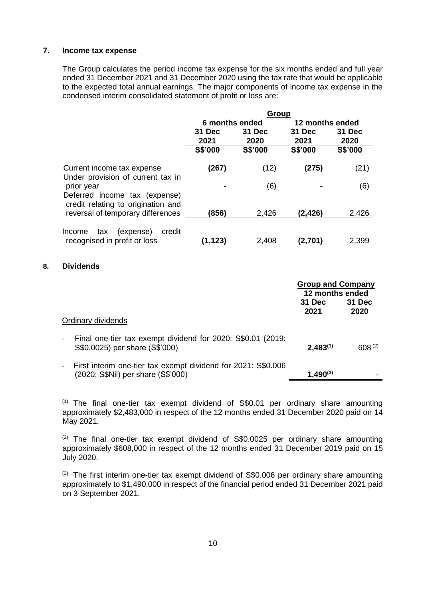# **7. Income tax expense**

The Group calculates the period income tax expense for the six months ended and full year ended 31 December 2021 and 31 December 2020 using the tax rate that would be applicable to the expected total annual earnings. The major components of income tax expense in the condensed interim consolidated statement of profit or loss are:

|                                                                         | Group          |                |                 |                |
|-------------------------------------------------------------------------|----------------|----------------|-----------------|----------------|
|                                                                         | 6 months ended |                | 12 months ended |                |
|                                                                         | 31 Dec<br>2021 | 31 Dec<br>2020 | 31 Dec<br>2021  | 31 Dec<br>2020 |
|                                                                         | S\$'000        | S\$'000        | S\$'000         | S\$'000        |
| Current income tax expense<br>Under provision of current tax in         | (267)          | (12)           | (275)           | (21)           |
| prior year<br>Deferred income tax (expense)                             |                | (6)            |                 | (6)            |
| credit relating to origination and<br>reversal of temporary differences | (856)          | 2,426          | (2,426)         | 2,426          |
| (expense)<br>Income<br>credit<br>tax<br>recognised in profit or loss    | (1.123)        | 2,408          | (2,701)         | 2,399          |

# **8. Dividends**

|                                                                                                     | <b>Group and Company</b><br>12 months ended |                    |
|-----------------------------------------------------------------------------------------------------|---------------------------------------------|--------------------|
|                                                                                                     | 31 Dec<br>2021                              | 31 Dec<br>2020     |
| Ordinary dividends                                                                                  |                                             |                    |
| Final one-tier tax exempt dividend for 2020: \$\$0.01 (2019:<br>S\$0.0025) per share (S\$'000)      | $2,483^{(1)}$                               | 608 <sup>(2)</sup> |
| First interim one-tier tax exempt dividend for 2021: S\$0.006<br>(2020: S\$Nil) per share (S\$'000) | $1,490^{(3)}$                               |                    |

 $(1)$  The final one-tier tax exempt dividend of S\$0.01 per ordinary share amounting approximately \$2,483,000 in respect of the 12 months ended 31 December 2020 paid on 14 May 2021.

 $(2)$  The final one-tier tax exempt dividend of S\$0.0025 per ordinary share amounting approximately \$608,000 in respect of the 12 months ended 31 December 2019 paid on 15 July 2020.

 $(3)$  The first interim one-tier tax exempt dividend of S\$0.006 per ordinary share amounting approximately to \$1,490,000 in respect of the financial period ended 31 December 2021 paid on 3 September 2021.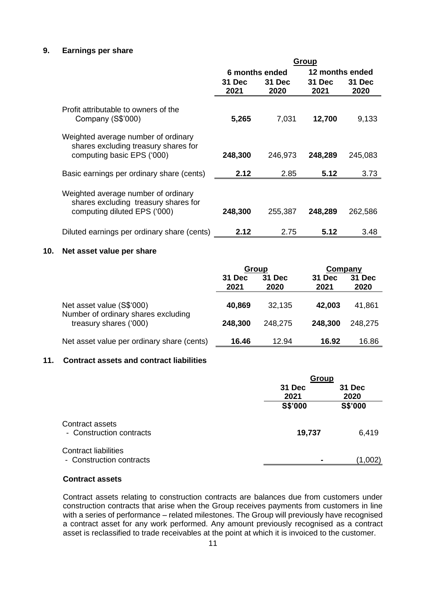# **9. Earnings per share**

|                                                                                                             | <b>Group</b>   |         |                 |         |
|-------------------------------------------------------------------------------------------------------------|----------------|---------|-----------------|---------|
|                                                                                                             | 6 months ended |         | 12 months ended |         |
|                                                                                                             | 31 Dec         | 31 Dec  | 31 Dec          | 31 Dec  |
|                                                                                                             | 2021           | 2020    | 2021            | 2020    |
| Profit attributable to owners of the<br>Company (S\$'000)                                                   | 5,265          | 7,031   | 12,700          | 9,133   |
| Weighted average number of ordinary<br>shares excluding treasury shares for<br>computing basic EPS ('000)   | 248,300        | 246,973 | 248,289         | 245,083 |
| Basic earnings per ordinary share (cents)                                                                   | 2.12           | 2.85    | 5.12            | 3.73    |
| Weighted average number of ordinary<br>shares excluding treasury shares for<br>computing diluted EPS ('000) | 248,300        | 255,387 | 248,289         | 262,586 |
| Diluted earnings per ordinary share (cents)                                                                 | 2.12           | 2.75    | 5.12            | 3.48    |

#### **10. Net asset value per share**

|                                                                  | Group          |                       | Company        |                |
|------------------------------------------------------------------|----------------|-----------------------|----------------|----------------|
|                                                                  | 31 Dec<br>2021 | <b>31 Dec</b><br>2020 | 31 Dec<br>2021 | 31 Dec<br>2020 |
|                                                                  |                |                       |                |                |
| Net asset value (S\$'000)<br>Number of ordinary shares excluding | 40,869         | 32,135                | 42,003         | 41,861         |
| treasury shares ('000)                                           | 248,300        | 248,275               | 248,300        | 248,275        |
| Net asset value per ordinary share (cents)                       | 16.46          | 12.94                 | 16.92          | 16.86          |

## **11. Contract assets and contract liabilities**

|                             |                | Group   |  |  |
|-----------------------------|----------------|---------|--|--|
|                             | 31 Dec         | 31 Dec  |  |  |
|                             | 2021           | 2020    |  |  |
|                             | S\$'000        | S\$'000 |  |  |
| Contract assets             |                |         |  |  |
| - Construction contracts    | 19,737         | 6,419   |  |  |
| <b>Contract liabilities</b> |                |         |  |  |
| - Construction contracts    | $\blacksquare$ | (1,002) |  |  |

# **Contract assets**

Contract assets relating to construction contracts are balances due from customers under construction contracts that arise when the Group receives payments from customers in line with a series of performance – related milestones. The Group will previously have recognised a contract asset for any work performed. Any amount previously recognised as a contract asset is reclassified to trade receivables at the point at which it is invoiced to the customer.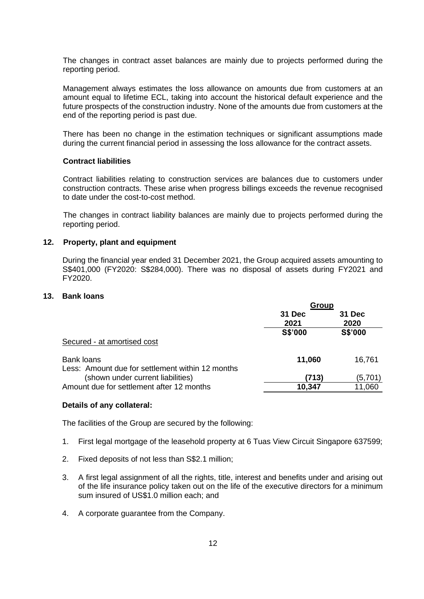The changes in contract asset balances are mainly due to projects performed during the reporting period.

Management always estimates the loss allowance on amounts due from customers at an amount equal to lifetime ECL, taking into account the historical default experience and the future prospects of the construction industry. None of the amounts due from customers at the end of the reporting period is past due.

There has been no change in the estimation techniques or significant assumptions made during the current financial period in assessing the loss allowance for the contract assets.

# **Contract liabilities**

Contract liabilities relating to construction services are balances due to customers under construction contracts. These arise when progress billings exceeds the revenue recognised to date under the cost-to-cost method.

The changes in contract liability balances are mainly due to projects performed during the reporting period.

#### **12. Property, plant and equipment**

During the financial year ended 31 December 2021, the Group acquired assets amounting to S\$401,000 (FY2020: S\$284,000). There was no disposal of assets during FY2021 and FY2020.

#### **13. Bank loans**

|                                                  | Group   |         |  |
|--------------------------------------------------|---------|---------|--|
|                                                  | 31 Dec  | 31 Dec  |  |
|                                                  | 2021    | 2020    |  |
|                                                  | S\$'000 | S\$'000 |  |
| Secured - at amortised cost                      |         |         |  |
| <b>Bank loans</b>                                | 11,060  | 16,761  |  |
| Less: Amount due for settlement within 12 months |         |         |  |
| (shown under current liabilities)                | (713)   | (5,701) |  |
| Amount due for settlement after 12 months        | 10,347  | 11,060  |  |

#### **Details of any collateral:**

The facilities of the Group are secured by the following:

- 1. First legal mortgage of the leasehold property at 6 Tuas View Circuit Singapore 637599;
- 2. Fixed deposits of not less than S\$2.1 million;
- 3. A first legal assignment of all the rights, title, interest and benefits under and arising out of the life insurance policy taken out on the life of the executive directors for a minimum sum insured of US\$1.0 million each; and
- 4. A corporate guarantee from the Company.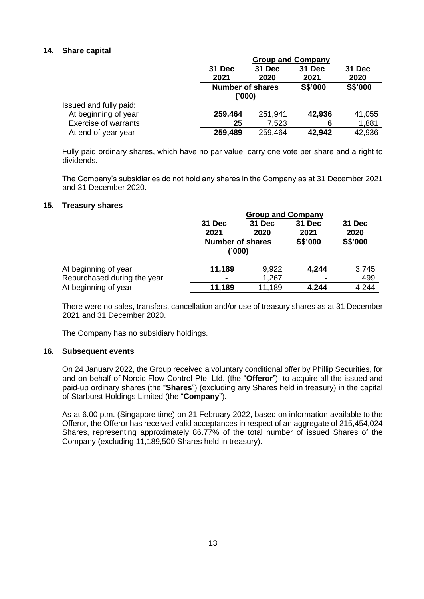# **14. Share capital**

|                             | <b>Group and Company</b>          |         |                |         |
|-----------------------------|-----------------------------------|---------|----------------|---------|
|                             | 31 Dec                            | 31 Dec  | 31 Dec         | 31 Dec  |
|                             | 2021                              | 2020    | 2021           | 2020    |
|                             | <b>Number of shares</b><br>('000) |         | <b>S\$'000</b> | S\$'000 |
| Issued and fully paid:      |                                   |         |                |         |
| At beginning of year        | 259,464                           | 251,941 | 42,936         | 41,055  |
| <b>Exercise of warrants</b> | 25                                | 7,523   | 6              | 1,881   |
| At end of year year         | 259,489                           | 259,464 | 42,942         | 42,936  |

Fully paid ordinary shares, which have no par value, carry one vote per share and a right to dividends.

The Company's subsidiaries do not hold any shares in the Company as at 31 December 2021 and 31 December 2020.

#### **15. Treasury shares**

|                             | <b>Group and Company</b>          |        |         |         |
|-----------------------------|-----------------------------------|--------|---------|---------|
|                             | <b>31 Dec</b>                     | 31 Dec | 31 Dec  | 31 Dec  |
|                             | 2021                              | 2020   | 2021    | 2020    |
|                             | <b>Number of shares</b><br>('000) |        | S\$'000 | S\$'000 |
| At beginning of year        | 11,189                            | 9,922  | 4,244   | 3,745   |
| Repurchased during the year |                                   | 1,267  |         | 499     |
| At beginning of year        | 11,189                            | 11,189 | 4,244   | 4,244   |

There were no sales, transfers, cancellation and/or use of treasury shares as at 31 December 2021 and 31 December 2020.

The Company has no subsidiary holdings.

#### **16. Subsequent events**

On 24 January 2022, the Group received a voluntary conditional offer by Phillip Securities, for and on behalf of Nordic Flow Control Pte. Ltd. (the "**Offeror**"), to acquire all the issued and paid-up ordinary shares (the "**Shares**") (excluding any Shares held in treasury) in the capital of Starburst Holdings Limited (the "**Company**").

As at 6.00 p.m. (Singapore time) on 21 February 2022, based on information available to the Offeror, the Offeror has received valid acceptances in respect of an aggregate of 215,454,024 Shares, representing approximately 86.77% of the total number of issued Shares of the Company (excluding 11,189,500 Shares held in treasury).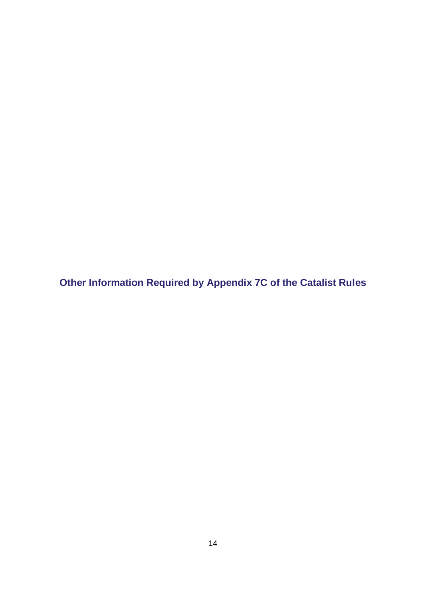**Other Information Required by Appendix 7C of the Catalist Rules**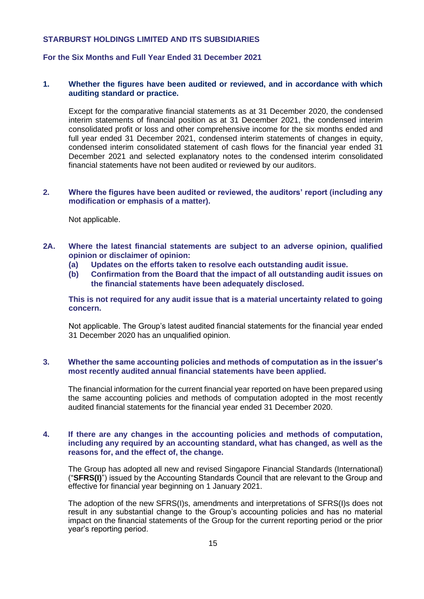# **For the Six Months and Full Year Ended 31 December 2021**

## **1. Whether the figures have been audited or reviewed, and in accordance with which auditing standard or practice.**

Except for the comparative financial statements as at 31 December 2020, the condensed interim statements of financial position as at 31 December 2021, the condensed interim consolidated profit or loss and other comprehensive income for the six months ended and full year ended 31 December 2021, condensed interim statements of changes in equity, condensed interim consolidated statement of cash flows for the financial year ended 31 December 2021 and selected explanatory notes to the condensed interim consolidated financial statements have not been audited or reviewed by our auditors.

#### **2. Where the figures have been audited or reviewed, the auditors' report (including any modification or emphasis of a matter).**

Not applicable.

- **2A. Where the latest financial statements are subject to an adverse opinion, qualified opinion or disclaimer of opinion:** 
	- **(a) Updates on the efforts taken to resolve each outstanding audit issue.**
	- **(b) Confirmation from the Board that the impact of all outstanding audit issues on the financial statements have been adequately disclosed.**

**This is not required for any audit issue that is a material uncertainty related to going concern.**

Not applicable. The Group's latest audited financial statements for the financial year ended 31 December 2020 has an unqualified opinion.

#### **3. Whether the same accounting policies and methods of computation as in the issuer's most recently audited annual financial statements have been applied.**

The financial information for the current financial year reported on have been prepared using the same accounting policies and methods of computation adopted in the most recently audited financial statements for the financial year ended 31 December 2020.

#### **4. If there are any changes in the accounting policies and methods of computation, including any required by an accounting standard, what has changed, as well as the reasons for, and the effect of, the change.**

The Group has adopted all new and revised Singapore Financial Standards (International) ("**SFRS(I)**") issued by the Accounting Standards Council that are relevant to the Group and effective for financial year beginning on 1 January 2021.

The adoption of the new SFRS(I)s, amendments and interpretations of SFRS(I)s does not result in any substantial change to the Group's accounting policies and has no material impact on the financial statements of the Group for the current reporting period or the prior year's reporting period.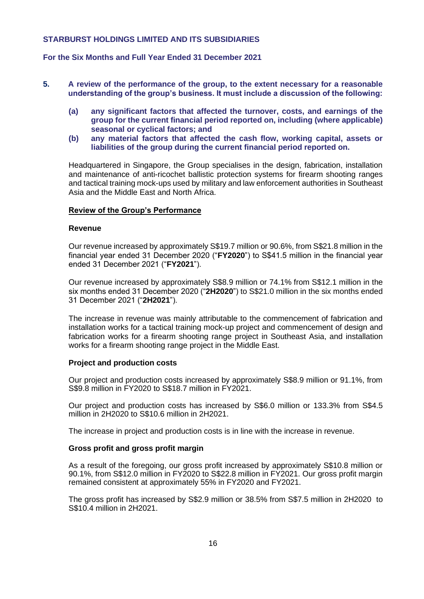# **For the Six Months and Full Year Ended 31 December 2021**

- **5. A review of the performance of the group, to the extent necessary for a reasonable understanding of the group's business. It must include a discussion of the following:** 
	- **(a) any significant factors that affected the turnover, costs, and earnings of the group for the current financial period reported on, including (where applicable) seasonal or cyclical factors; and**
	- **(b) any material factors that affected the cash flow, working capital, assets or liabilities of the group during the current financial period reported on.**

Headquartered in Singapore, the Group specialises in the design, fabrication, installation and maintenance of anti-ricochet ballistic protection systems for firearm shooting ranges and tactical training mock-ups used by military and law enforcement authorities in Southeast Asia and the Middle East and North Africa.

#### **Review of the Group's Performance**

#### **Revenue**

Our revenue increased by approximately S\$19.7 million or 90.6%, from S\$21.8 million in the financial year ended 31 December 2020 ("**FY2020**") to S\$41.5 million in the financial year ended 31 December 2021 ("**FY2021**").

Our revenue increased by approximately S\$8.9 million or 74.1% from S\$12.1 million in the six months ended 31 December 2020 ("**2H2020**") to S\$21.0 million in the six months ended 31 December 2021 ("**2H2021**").

The increase in revenue was mainly attributable to the commencement of fabrication and installation works for a tactical training mock-up project and commencement of design and fabrication works for a firearm shooting range project in Southeast Asia, and installation works for a firearm shooting range project in the Middle East.

#### **Project and production costs**

Our project and production costs increased by approximately S\$8.9 million or 91.1%, from S\$9.8 million in FY2020 to S\$18.7 million in FY2021.

Our project and production costs has increased by S\$6.0 million or 133.3% from S\$4.5 million in 2H2020 to S\$10.6 million in 2H2021.

The increase in project and production costs is in line with the increase in revenue.

#### **Gross profit and gross profit margin**

As a result of the foregoing, our gross profit increased by approximately S\$10.8 million or 90.1%, from S\$12.0 million in FY2020 to S\$22.8 million in FY2021. Our gross profit margin remained consistent at approximately 55% in FY2020 and FY2021.

The gross profit has increased by S\$2.9 million or 38.5% from S\$7.5 million in 2H2020 to S\$10.4 million in 2H2021.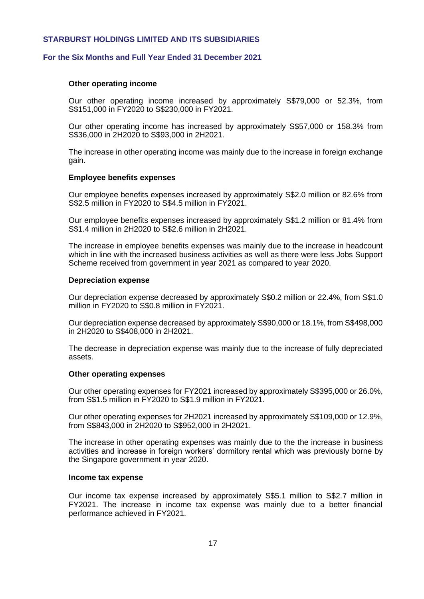## **For the Six Months and Full Year Ended 31 December 2021**

#### **Other operating income**

Our other operating income increased by approximately S\$79,000 or 52.3%, from S\$151,000 in FY2020 to S\$230,000 in FY2021.

Our other operating income has increased by approximately S\$57,000 or 158.3% from S\$36,000 in 2H2020 to S\$93,000 in 2H2021.

The increase in other operating income was mainly due to the increase in foreign exchange gain.

#### **Employee benefits expenses**

Our employee benefits expenses increased by approximately S\$2.0 million or 82.6% from S\$2.5 million in FY2020 to S\$4.5 million in FY2021.

Our employee benefits expenses increased by approximately S\$1.2 million or 81.4% from S\$1.4 million in 2H2020 to S\$2.6 million in 2H2021.

The increase in employee benefits expenses was mainly due to the increase in headcount which in line with the increased business activities as well as there were less Jobs Support Scheme received from government in year 2021 as compared to year 2020.

#### **Depreciation expense**

Our depreciation expense decreased by approximately S\$0.2 million or 22.4%, from S\$1.0 million in FY2020 to S\$0.8 million in FY2021.

Our depreciation expense decreased by approximately S\$90,000 or 18.1%, from S\$498,000 in 2H2020 to S\$408,000 in 2H2021.

The decrease in depreciation expense was mainly due to the increase of fully depreciated assets.

#### **Other operating expenses**

Our other operating expenses for FY2021 increased by approximately S\$395,000 or 26.0%, from S\$1.5 million in FY2020 to S\$1.9 million in FY2021.

Our other operating expenses for 2H2021 increased by approximately S\$109,000 or 12.9%, from S\$843,000 in 2H2020 to S\$952,000 in 2H2021.

The increase in other operating expenses was mainly due to the the increase in business activities and increase in foreign workers' dormitory rental which was previously borne by the Singapore government in year 2020.

#### **Income tax expense**

Our income tax expense increased by approximately S\$5.1 million to S\$2.7 million in FY2021. The increase in income tax expense was mainly due to a better financial performance achieved in FY2021.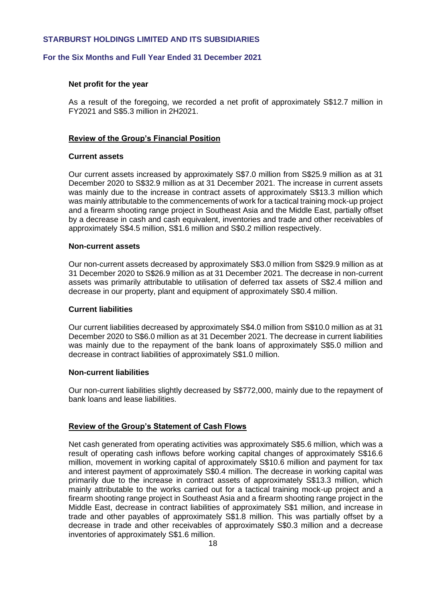## **For the Six Months and Full Year Ended 31 December 2021**

#### **Net profit for the year**

As a result of the foregoing, we recorded a net profit of approximately S\$12.7 million in FY2021 and S\$5.3 million in 2H2021.

#### **Review of the Group's Financial Position**

#### **Current assets**

Our current assets increased by approximately S\$7.0 million from S\$25.9 million as at 31 December 2020 to S\$32.9 million as at 31 December 2021. The increase in current assets was mainly due to the increase in contract assets of approximately S\$13.3 million which was mainly attributable to the commencements of work for a tactical training mock-up project and a firearm shooting range project in Southeast Asia and the Middle East, partially offset by a decrease in cash and cash equivalent, inventories and trade and other receivables of approximately S\$4.5 million, S\$1.6 million and S\$0.2 million respectively.

#### **Non-current assets**

Our non-current assets decreased by approximately S\$3.0 million from S\$29.9 million as at 31 December 2020 to S\$26.9 million as at 31 December 2021. The decrease in non-current assets was primarily attributable to utilisation of deferred tax assets of S\$2.4 million and decrease in our property, plant and equipment of approximately S\$0.4 million.

#### **Current liabilities**

Our current liabilities decreased by approximately S\$4.0 million from S\$10.0 million as at 31 December 2020 to S\$6.0 million as at 31 December 2021. The decrease in current liabilities was mainly due to the repayment of the bank loans of approximately S\$5.0 million and decrease in contract liabilities of approximately S\$1.0 million.

## **Non-current liabilities**

Our non-current liabilities slightly decreased by S\$772,000, mainly due to the repayment of bank loans and lease liabilities.

#### **Review of the Group's Statement of Cash Flows**

Net cash generated from operating activities was approximately S\$5.6 million, which was a result of operating cash inflows before working capital changes of approximately S\$16.6 million, movement in working capital of approximately S\$10.6 million and payment for tax and interest payment of approximately S\$0.4 million. The decrease in working capital was primarily due to the increase in contract assets of approximately S\$13.3 million, which mainly attributable to the works carried out for a tactical training mock-up project and a firearm shooting range project in Southeast Asia and a firearm shooting range project in the Middle East, decrease in contract liabilities of approximately S\$1 million, and increase in trade and other payables of approximately S\$1.8 million. This was partially offset by a decrease in trade and other receivables of approximately S\$0.3 million and a decrease inventories of approximately S\$1.6 million.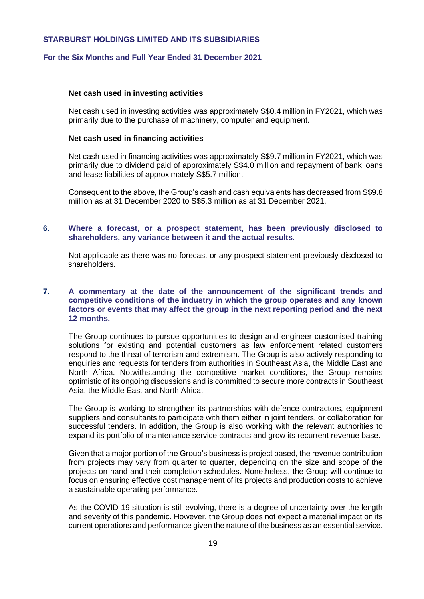## **For the Six Months and Full Year Ended 31 December 2021**

#### **Net cash used in investing activities**

Net cash used in investing activities was approximately S\$0.4 million in FY2021, which was primarily due to the purchase of machinery, computer and equipment.

#### **Net cash used in financing activities**

Net cash used in financing activities was approximately S\$9.7 million in FY2021, which was primarily due to dividend paid of approximately S\$4.0 million and repayment of bank loans and lease liabilities of approximately S\$5.7 million.

Consequent to the above, the Group's cash and cash equivalents has decreased from S\$9.8 miillion as at 31 December 2020 to S\$5.3 million as at 31 December 2021.

#### **6. Where a forecast, or a prospect statement, has been previously disclosed to shareholders, any variance between it and the actual results.**

Not applicable as there was no forecast or any prospect statement previously disclosed to shareholders.

# **7. A commentary at the date of the announcement of the significant trends and competitive conditions of the industry in which the group operates and any known factors or events that may affect the group in the next reporting period and the next 12 months.**

The Group continues to pursue opportunities to design and engineer customised training solutions for existing and potential customers as law enforcement related customers respond to the threat of terrorism and extremism. The Group is also actively responding to enquiries and requests for tenders from authorities in Southeast Asia, the Middle East and North Africa. Notwithstanding the competitive market conditions, the Group remains optimistic of its ongoing discussions and is committed to secure more contracts in Southeast Asia, the Middle East and North Africa.

The Group is working to strengthen its partnerships with defence contractors, equipment suppliers and consultants to participate with them either in joint tenders, or collaboration for successful tenders. In addition, the Group is also working with the relevant authorities to expand its portfolio of maintenance service contracts and grow its recurrent revenue base.

Given that a major portion of the Group's business is project based, the revenue contribution from projects may vary from quarter to quarter, depending on the size and scope of the projects on hand and their completion schedules. Nonetheless, the Group will continue to focus on ensuring effective cost management of its projects and production costs to achieve a sustainable operating performance.

As the COVID-19 situation is still evolving, there is a degree of uncertainty over the length and severity of this pandemic. However, the Group does not expect a material impact on its current operations and performance given the nature of the business as an essential service.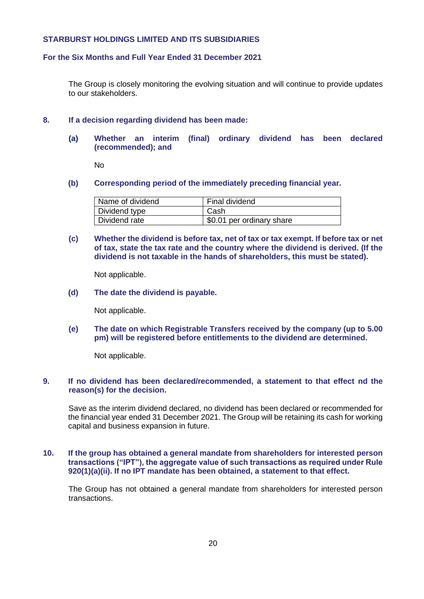#### **For the Six Months and Full Year Ended 31 December 2021**

The Group is closely monitoring the evolving situation and will continue to provide updates to our stakeholders.

#### **8. If a decision regarding dividend has been made:**

**(a) Whether an interim (final) ordinary dividend has been declared (recommended); and** 

No

**(b) Corresponding period of the immediately preceding financial year.**

| Name of dividend | Final dividend            |
|------------------|---------------------------|
| Dividend type    | Cash                      |
| Dividend rate    | \$0.01 per ordinary share |

**(c) Whether the dividend is before tax, net of tax or tax exempt. If before tax or net of tax, state the tax rate and the country where the dividend is derived. (If the dividend is not taxable in the hands of shareholders, this must be stated).**

Not applicable.

**(d) The date the dividend is payable.**

Not applicable.

**(e) The date on which Registrable Transfers received by the company (up to 5.00 pm) will be registered before entitlements to the dividend are determined.** 

Not applicable.

#### **9. If no dividend has been declared/recommended, a statement to that effect nd the reason(s) for the decision.**

Save as the interim dividend declared, no dividend has been declared or recommended for the financial year ended 31 December 2021. The Group will be retaining its cash for working capital and business expansion in future.

#### **10. If the group has obtained a general mandate from shareholders for interested person transactions ("IPT"), the aggregate value of such transactions as required under Rule 920(1)(a)(ii). If no IPT mandate has been obtained, a statement to that effect.**

The Group has not obtained a general mandate from shareholders for interested person transactions.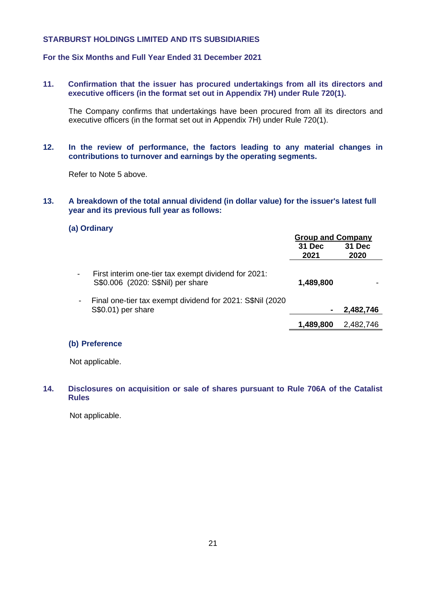# **For the Six Months and Full Year Ended 31 December 2021**

**11. Confirmation that the issuer has procured undertakings from all its directors and executive officers (in the format set out in Appendix 7H) under Rule 720(1).** 

The Company confirms that undertakings have been procured from all its directors and executive officers (in the format set out in Appendix 7H) under Rule 720(1).

**12. In the review of performance, the factors leading to any material changes in contributions to turnover and earnings by the operating segments.**

Refer to Note 5 above.

#### **13. A breakdown of the total annual dividend (in dollar value) for the issuer's latest full year and its previous full year as follows:**

#### **(a) Ordinary**

|                                                                                           | <b>Group and Company</b><br>31 Dec<br>2021 | 31 Dec<br>2020 |
|-------------------------------------------------------------------------------------------|--------------------------------------------|----------------|
| First interim one-tier tax exempt dividend for 2021:<br>S\$0.006 (2020: S\$Nil) per share | 1,489,800                                  |                |
| Final one-tier tax exempt dividend for 2021: S\$Nil (2020)<br>S\$0.01) per share          |                                            | 2,482,746      |
|                                                                                           | 1,489,800                                  | 2,482,746      |

# **(b) Preference**

Not applicable.

## **14. Disclosures on acquisition or sale of shares pursuant to Rule 706A of the Catalist Rules**

Not applicable.